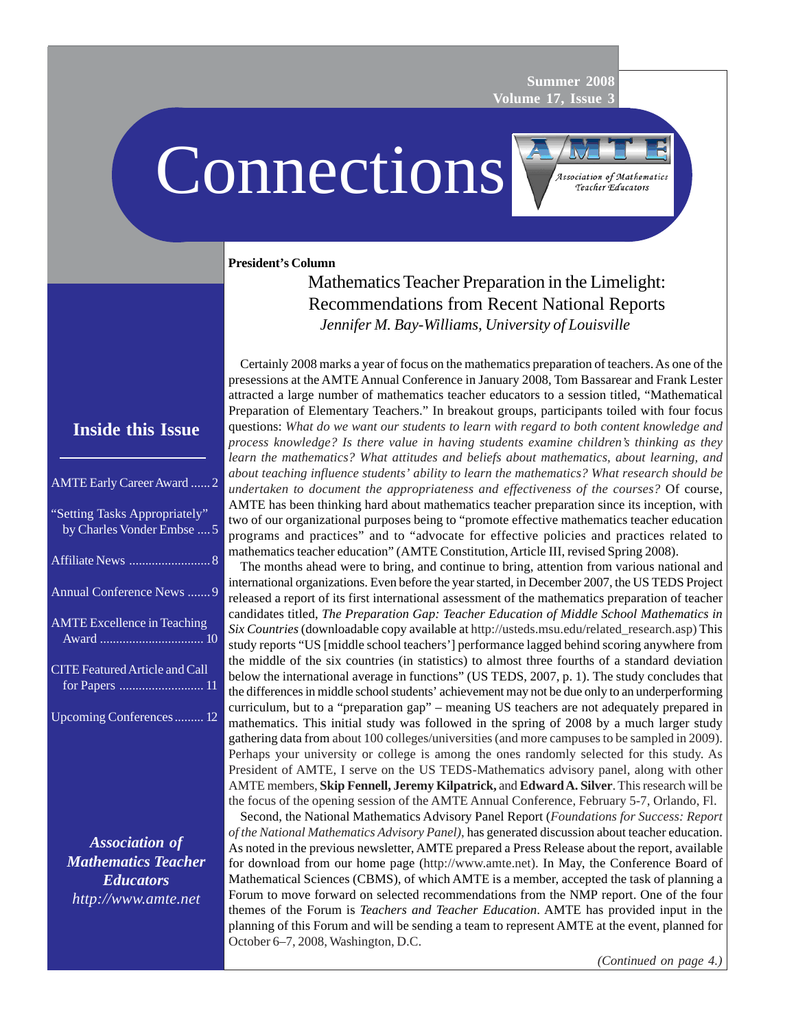**Summer 2008 Volume 17, Issue 3**

Connections

Association of Mathematics Teacher Educators

#### **President's Column**

Mathematics Teacher Preparation in the Limelight: Recommendations from Recent National Reports *Jennifer M. Bay-Williams, University of Louisville*

Certainly 2008 marks a year of focus on the mathematics preparation of teachers. As one of the presessions at the AMTE Annual Conference in January 2008, Tom Bassarear and Frank Lester attracted a large number of mathematics teacher educators to a session titled, "Mathematical Preparation of Elementary Teachers." In breakout groups, participants toiled with four focus questions: *What do we want our students to learn with regard to both content knowledge and process knowledge? Is there value in having students examine children's thinking as they learn the mathematics? What attitudes and beliefs about mathematics, about learning, and about teaching influence students' ability to learn the mathematics? What research should be undertaken to document the appropriateness and effectiveness of the courses?* Of course, AMTE has been thinking hard about mathematics teacher preparation since its inception, with two of our organizational purposes being to "promote effective mathematics teacher education programs and practices" and to "advocate for effective policies and practices related to mathematics teacher education" (AMTE Constitution, Article III, revised Spring 2008).

The months ahead were to bring, and continue to bring, attention from various national and international organizations. Even before the year started, in December 2007, the US TEDS Project released a report of its first international assessment of the mathematics preparation of teacher candidates titled, *The Preparation Gap: Teacher Education of Middle School Mathematics in Six Countries* (downloadable copy available at http://usteds.msu.edu/related\_research.asp) This study reports "US [middle school teachers'] performance lagged behind scoring anywhere from the middle of the six countries (in statistics) to almost three fourths of a standard deviation below the international average in functions" (US TEDS, 2007, p. 1). The study concludes that the differences in middle school students' achievement may not be due only to an underperforming curriculum, but to a "preparation gap" – meaning US teachers are not adequately prepared in mathematics. This initial study was followed in the spring of 2008 by a much larger study gathering data from about 100 colleges/universities (and more campuses to be sampled in 2009). Perhaps your university or college is among the ones randomly selected for this study. As President of AMTE, I serve on the US TEDS-Mathematics advisory panel, along with other AMTE members, **Skip Fennell, Jeremy Kilpatrick,** and **Edward A. Silver**. This research will be the focus of the opening session of the AMTE Annual Conference, February 5-7, Orlando, Fl.

Second, the National Mathematics Advisory Panel Report (*Foundations for Success: Report of the National Mathematics Advisory Panel)*, has generated discussion about teacher education. As noted in the previous newsletter, AMTE prepared a Press Release about the report, available for download from our home page (http://www.amte.net). In May, the Conference Board of Mathematical Sciences (CBMS), of which AMTE is a member, accepted the task of planning a Forum to move forward on selected recommendations from the NMP report. One of the four themes of the Forum is *Teachers and Teacher Education*. AMTE has provided input in the planning of this Forum and will be sending a team to represent AMTE at the event, planned for October 6–7, 2008, Washington, D.C.

### **Inside this Issue**

| <b>AMTE Early Career Award  2</b>                           |
|-------------------------------------------------------------|
| "Setting Tasks Appropriately"<br>by Charles Vonder Embse  5 |
|                                                             |
| Annual Conference News  9                                   |
| <b>AMTE Excellence in Teaching</b>                          |
| <b>CITE Featured Article and Call</b>                       |
| Upcoming Conferences 12                                     |

*Association of Mathematics Teacher Educators http://www.amte.net*

*(Continued on page 4.)*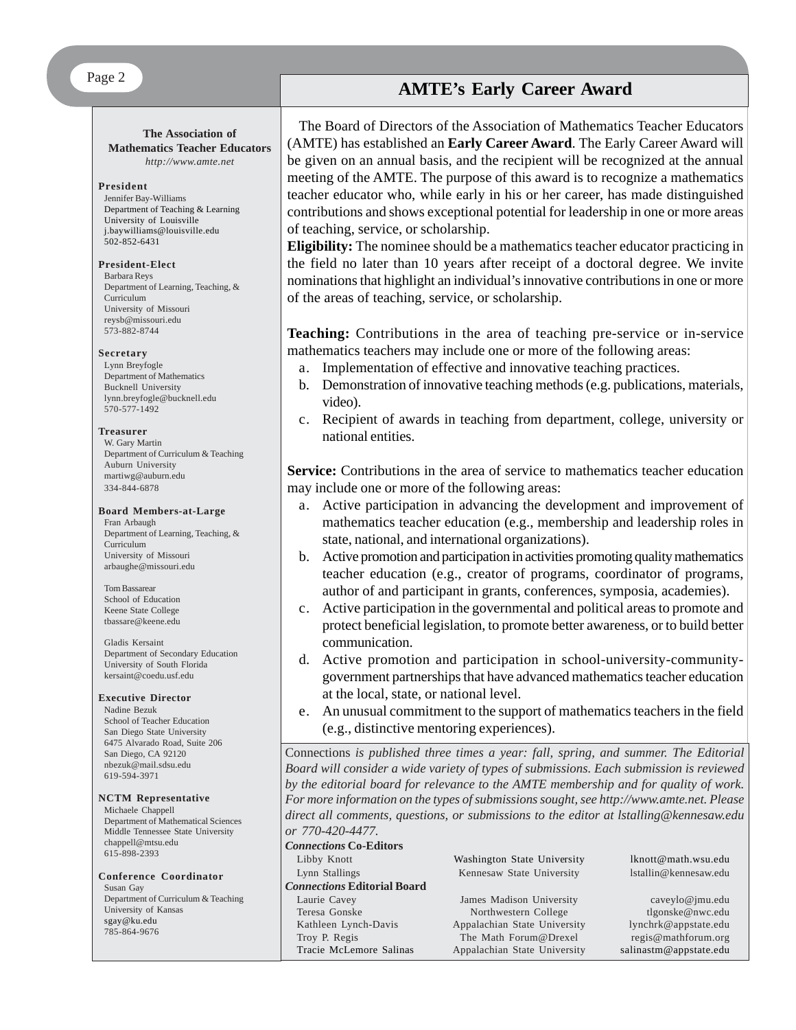#### **The Association of Mathematics Teacher Educators**

*http://www.amte.net*

#### **President**

Jennifer Bay-Williams Department of Teaching & Learning University of Louisville j.baywilliams@louisville.edu 502-852-6431

#### **President-Elect**

Barbara Reys Department of Learning, Teaching, & Curriculum University of Missouri reysb@missouri.edu 573-882-8744

#### **Secretary**

Lynn Breyfogle Department of Mathematics Bucknell University lynn.breyfogle@bucknell.edu 570-577-1492

#### **Treasurer**

W. Gary Martin Department of Curriculum & Teaching Auburn University martiwg@auburn.edu 334-844-6878

#### **Board Members-at-Large**

Fran Arbaugh Department of Learning, Teaching, & Curriculum University of Missouri arbaughe@missouri.edu

#### Tom Bassarear School of Education Keene State College tbassare@keene.edu

Gladis Kersaint Department of Secondary Education University of South Florida kersaint@coedu.usf.edu

#### **Executive Director**

Nadine Bezuk School of Teacher Education San Diego State University 6475 Alvarado Road, Suite 206 San Diego, CA 92120 nbezuk@mail.sdsu.edu 619-594-3971

#### **NCTM Representative**

Michaele Chappell Department of Mathematical Sciences Middle Tennessee State University chappell@mtsu.edu 615-898-2393

#### **Conference Coordinator** Susan Gay Department of Curriculum & Teaching University of Kansas sgay@ku.edu 785-864-9676

# **AMTE's Early Career Award**

The Board of Directors of the Association of Mathematics Teacher Educators (AMTE) has established an **Early Career Award**. The Early Career Award will be given on an annual basis, and the recipient will be recognized at the annual meeting of the AMTE. The purpose of this award is to recognize a mathematics teacher educator who, while early in his or her career, has made distinguished contributions and shows exceptional potential for leadership in one or more areas of teaching, service, or scholarship.

**Eligibility:** The nominee should be a mathematics teacher educator practicing in the field no later than 10 years after receipt of a doctoral degree. We invite nominations that highlight an individual's innovative contributions in one or more of the areas of teaching, service, or scholarship.

**Teaching:** Contributions in the area of teaching pre-service or in-service mathematics teachers may include one or more of the following areas:

- a. Implementation of effective and innovative teaching practices.
- b. Demonstration of innovative teaching methods (e.g. publications, materials, video).
- c. Recipient of awards in teaching from department, college, university or national entities.

**Service:** Contributions in the area of service to mathematics teacher education may include one or more of the following areas:

- a. Active participation in advancing the development and improvement of mathematics teacher education (e.g., membership and leadership roles in state, national, and international organizations).
- b. Active promotion and participation in activities promoting quality mathematics teacher education (e.g., creator of programs, coordinator of programs, author of and participant in grants, conferences, symposia, academies).
- c. Active participation in the governmental and political areas to promote and protect beneficial legislation, to promote better awareness, or to build better communication.
- d. Active promotion and participation in school-university-communitygovernment partnerships that have advanced mathematics teacher education at the local, state, or national level.
- e. An unusual commitment to the support of mathematics teachers in the field (e.g., distinctive mentoring experiences).

Connections *is published three times a year: fall, spring, and summer. The Editorial Board will consider a wide variety of types of submissions. Each submission is reviewed by the editorial board for relevance to the AMTE membership and for quality of work. For more information on the types of submissions sought, see http://www.amte.net. Please direct all comments, questions, or submissions to the editor at lstalling@kennesaw.edu or 770-420-4477.*

#### *Connections* **Co-Editors**

| Libby Knott                        | Washington State University  | lknott@math.wsu.edu    |
|------------------------------------|------------------------------|------------------------|
| Lynn Stallings                     | Kennesaw State University    | 1stallin@kennesaw.edu  |
| <b>Connections Editorial Board</b> |                              |                        |
| Laurie Cavey                       | James Madison University     | caveylo@jmu.edu        |
| Teresa Gonske                      | Northwestern College         | tlgonske@nwc.edu       |
| Kathleen Lynch-Davis               | Appalachian State University | lynchrk@appstate.edu   |
| Troy P. Regis                      | The Math Forum@Drexel        | regis@mathforum.org    |
| Tracie McLemore Salinas            | Appalachian State University | salinastm@appstate.edu |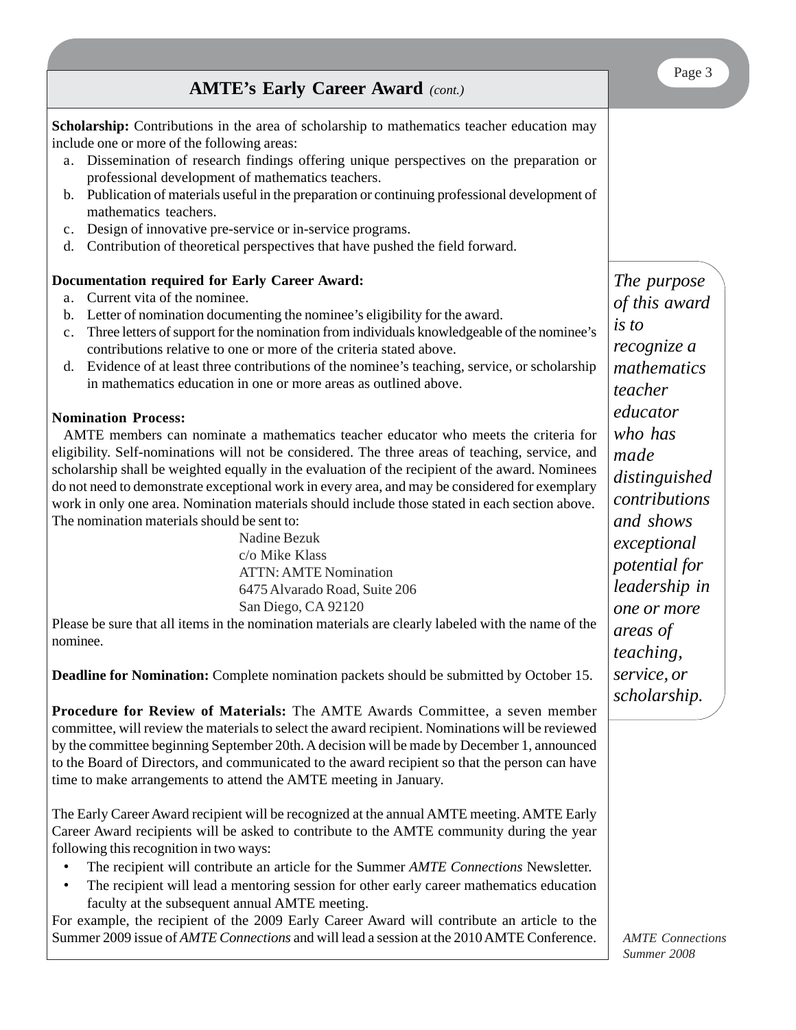| <b>AMTE's Early Career Award</b> (cont.)                                                                                                                                                                                                                                                                                                                                                                                                                                                                                                                                                                                                                                                             | Page 3                                                                                                                                     |
|------------------------------------------------------------------------------------------------------------------------------------------------------------------------------------------------------------------------------------------------------------------------------------------------------------------------------------------------------------------------------------------------------------------------------------------------------------------------------------------------------------------------------------------------------------------------------------------------------------------------------------------------------------------------------------------------------|--------------------------------------------------------------------------------------------------------------------------------------------|
| <b>Scholarship:</b> Contributions in the area of scholarship to mathematics teacher education may<br>include one or more of the following areas:<br>Dissemination of research findings offering unique perspectives on the preparation or<br>a.                                                                                                                                                                                                                                                                                                                                                                                                                                                      |                                                                                                                                            |
| professional development of mathematics teachers.<br>Publication of materials useful in the preparation or continuing professional development of<br>b.<br>mathematics teachers.<br>Design of innovative pre-service or in-service programs.<br>c.<br>Contribution of theoretical perspectives that have pushed the field forward.<br>d.                                                                                                                                                                                                                                                                                                                                                             |                                                                                                                                            |
| Documentation required for Early Career Award:<br>Current vita of the nominee.<br>a.<br>Letter of nomination documenting the nominee's eligibility for the award.<br>b.<br>Three letters of support for the nomination from individuals knowledgeable of the nominee's<br>c.<br>contributions relative to one or more of the criteria stated above.<br>Evidence of at least three contributions of the nominee's teaching, service, or scholarship<br>d.<br>in mathematics education in one or more areas as outlined above.                                                                                                                                                                         | The purpose<br>of this award<br>is to<br>recognize a<br>mathematics<br>teacher                                                             |
| <b>Nomination Process:</b><br>AMTE members can nominate a mathematics teacher educator who meets the criteria for<br>eligibility. Self-nominations will not be considered. The three areas of teaching, service, and<br>scholarship shall be weighted equally in the evaluation of the recipient of the award. Nominees<br>do not need to demonstrate exceptional work in every area, and may be considered for exemplary<br>work in only one area. Nomination materials should include those stated in each section above.<br>The nomination materials should be sent to:<br>Nadine Bezuk<br>c/o Mike Klass<br><b>ATTN: AMTE Nomination</b><br>6475 Alvarado Road, Suite 206<br>San Diego, CA 92120 | educator<br>who has<br>made<br>distinguished<br>contributions<br>and shows<br>exceptional<br>potential for<br>leadership in<br>one or more |
| Please be sure that all items in the nomination materials are clearly labeled with the name of the<br>nominee.                                                                                                                                                                                                                                                                                                                                                                                                                                                                                                                                                                                       | areas of<br><i>teaching,</i>                                                                                                               |
| <b>Deadline for Nomination:</b> Complete nomination packets should be submitted by October 15.<br>Procedure for Review of Materials: The AMTE Awards Committee, a seven member<br>committee, will review the materials to select the award recipient. Nominations will be reviewed<br>by the committee beginning September 20th. A decision will be made by December 1, announced<br>to the Board of Directors, and communicated to the award recipient so that the person can have<br>time to make arrangements to attend the AMTE meeting in January.                                                                                                                                              | service, or<br>scholarship.                                                                                                                |

The Early Career Award recipient will be recognized at the annual AMTE meeting. AMTE Early Career Award recipients will be asked to contribute to the AMTE community during the year following this recognition in two ways:

- The recipient will contribute an article for the Summer *AMTE Connections* Newsletter.
- The recipient will lead a mentoring session for other early career mathematics education faculty at the subsequent annual AMTE meeting.

For example, the recipient of the 2009 Early Career Award will contribute an article to the Summer 2009 issue of *AMTE Connections* and will lead a session at the 2010 AMTE Conference.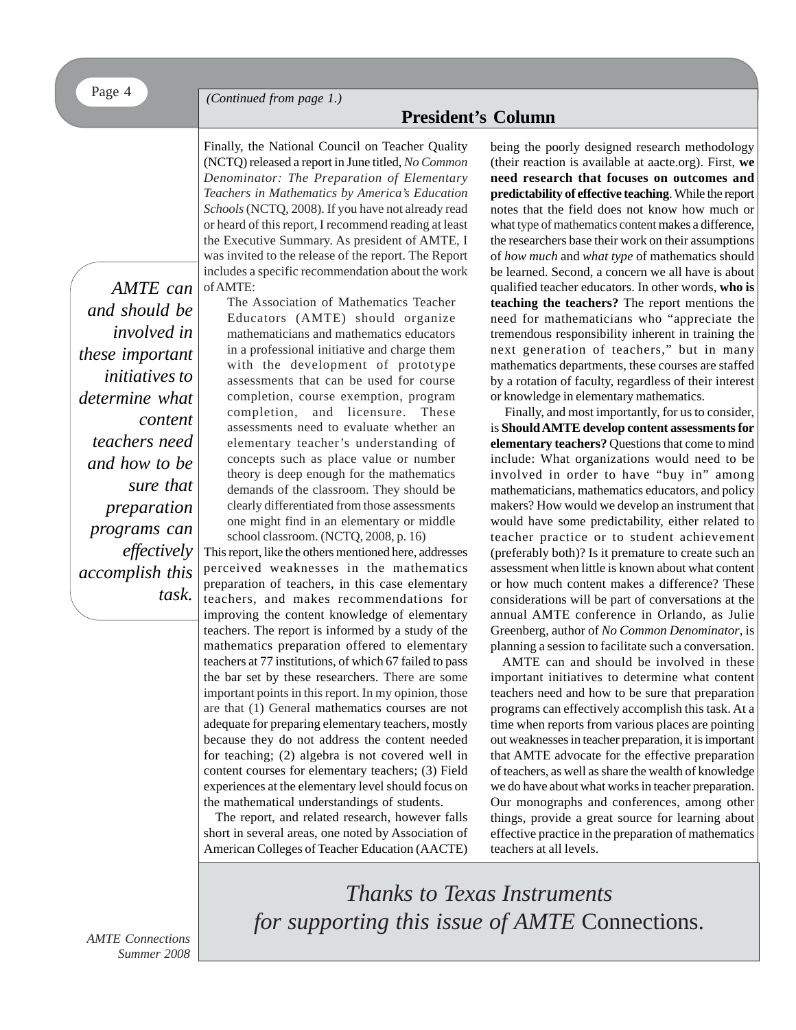*(Continued from page 1.)*

### **President's Column**

Finally, the National Council on Teacher Quality (NCTQ) released a report in June titled, *No Common Denominator: The Preparation of Elementary Teachers in Mathematics by America's Education Schools* (NCTQ, 2008). If you have not already read or heard of this report, I recommend reading at least the Executive Summary. As president of AMTE, I was invited to the release of the report. The Report includes a specific recommendation about the work of AMTE:

*AMTE can and should be involved in these important initiatives to determine what content teachers need and how to be sure that preparation programs can effectively accomplish this task.*

The Association of Mathematics Teacher Educators (AMTE) should organize mathematicians and mathematics educators in a professional initiative and charge them with the development of prototype assessments that can be used for course completion, course exemption, program completion, and licensure. These assessments need to evaluate whether an elementary teacher's understanding of concepts such as place value or number theory is deep enough for the mathematics demands of the classroom. They should be clearly differentiated from those assessments one might find in an elementary or middle school classroom. (NCTQ, 2008, p. 16)

This report, like the others mentioned here, addresses perceived weaknesses in the mathematics preparation of teachers, in this case elementary teachers, and makes recommendations for improving the content knowledge of elementary teachers. The report is informed by a study of the mathematics preparation offered to elementary teachers at 77 institutions, of which 67 failed to pass the bar set by these researchers. There are some important points in this report. In my opinion, those are that (1) General mathematics courses are not adequate for preparing elementary teachers, mostly because they do not address the content needed for teaching; (2) algebra is not covered well in content courses for elementary teachers; (3) Field experiences at the elementary level should focus on the mathematical understandings of students.

The report, and related research, however falls short in several areas, one noted by Association of American Colleges of Teacher Education (AACTE)

being the poorly designed research methodology (their reaction is available at aacte.org). First, **we need research that focuses on outcomes and predictability of effective teaching**. While the report notes that the field does not know how much or what type of mathematics content makes a difference, the researchers base their work on their assumptions of *how much* and *what type* of mathematics should be learned. Second, a concern we all have is about qualified teacher educators. In other words, **who is teaching the teachers?** The report mentions the need for mathematicians who "appreciate the tremendous responsibility inherent in training the next generation of teachers," but in many mathematics departments, these courses are staffed by a rotation of faculty, regardless of their interest or knowledge in elementary mathematics.

 Finally, and most importantly, for us to consider, is **Should AMTE develop content assessments for elementary teachers?** Questions that come to mind include: What organizations would need to be involved in order to have "buy in" among mathematicians, mathematics educators, and policy makers? How would we develop an instrument that would have some predictability, either related to teacher practice or to student achievement (preferably both)? Is it premature to create such an assessment when little is known about what content or how much content makes a difference? These considerations will be part of conversations at the annual AMTE conference in Orlando, as Julie Greenberg, author of *No Common Denominator*, is planning a session to facilitate such a conversation.

AMTE can and should be involved in these important initiatives to determine what content teachers need and how to be sure that preparation programs can effectively accomplish this task. At a time when reports from various places are pointing out weaknesses in teacher preparation, it is important that AMTE advocate for the effective preparation of teachers, as well as share the wealth of knowledge we do have about what works in teacher preparation. Our monographs and conferences, among other things, provide a great source for learning about effective practice in the preparation of mathematics teachers at all levels.

*Thanks to Texas Instruments for supporting this issue of AMTE* Connections.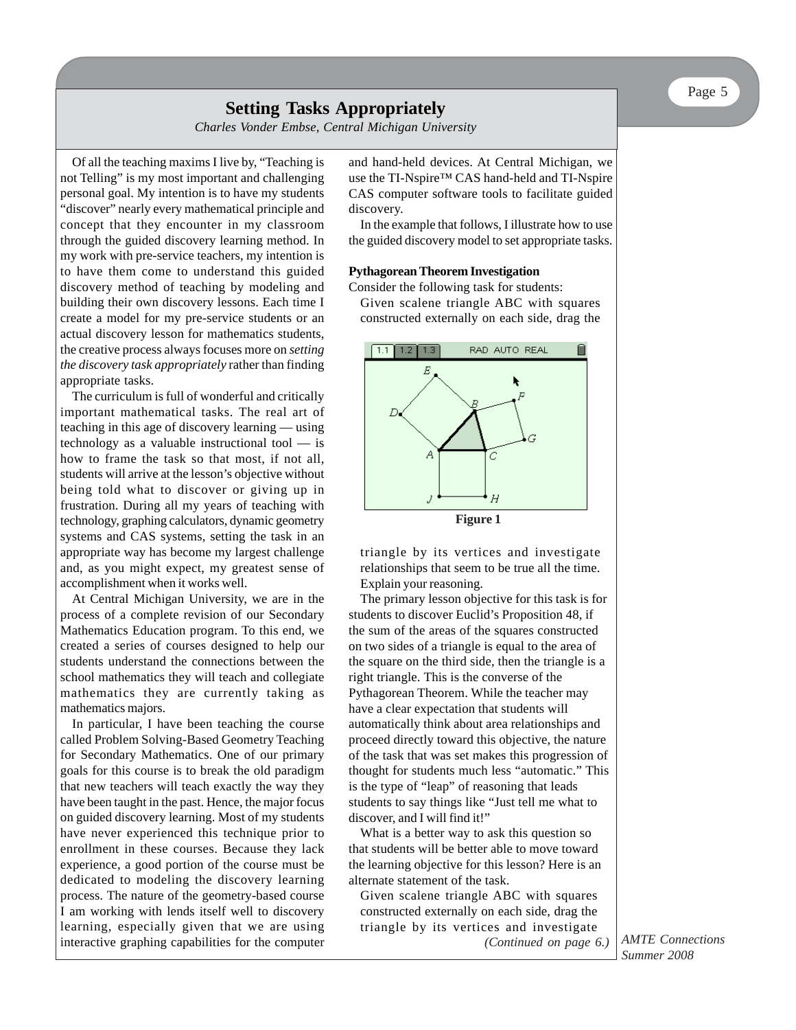### **Setting Tasks Appropriately**

*Charles Vonder Embse, Central Michigan University*

Of all the teaching maxims I live by, "Teaching is not Telling" is my most important and challenging personal goal. My intention is to have my students "discover" nearly every mathematical principle and concept that they encounter in my classroom through the guided discovery learning method. In my work with pre-service teachers, my intention is to have them come to understand this guided discovery method of teaching by modeling and building their own discovery lessons. Each time I create a model for my pre-service students or an actual discovery lesson for mathematics students, the creative process always focuses more on *setting the discovery task appropriately* rather than finding appropriate tasks.

The curriculum is full of wonderful and critically important mathematical tasks. The real art of teaching in this age of discovery learning — using technology as a valuable instructional tool — is how to frame the task so that most, if not all, students will arrive at the lesson's objective without being told what to discover or giving up in frustration. During all my years of teaching with technology, graphing calculators, dynamic geometry systems and CAS systems, setting the task in an appropriate way has become my largest challenge and, as you might expect, my greatest sense of accomplishment when it works well.

At Central Michigan University, we are in the process of a complete revision of our Secondary Mathematics Education program. To this end, we created a series of courses designed to help our students understand the connections between the school mathematics they will teach and collegiate mathematics they are currently taking as mathematics majors.

In particular, I have been teaching the course called Problem Solving-Based Geometry Teaching for Secondary Mathematics. One of our primary goals for this course is to break the old paradigm that new teachers will teach exactly the way they have been taught in the past. Hence, the major focus on guided discovery learning. Most of my students have never experienced this technique prior to enrollment in these courses. Because they lack experience, a good portion of the course must be dedicated to modeling the discovery learning process. The nature of the geometry-based course I am working with lends itself well to discovery learning, especially given that we are using interactive graphing capabilities for the computer and hand-held devices. At Central Michigan, we use the TI-Nspire™ CAS hand-held and TI-Nspire CAS computer software tools to facilitate guided discovery.

In the example that follows, I illustrate how to use the guided discovery model to set appropriate tasks.

#### **Pythagorean Theorem Investigation**

Consider the following task for students:

Given scalene triangle ABC with squares constructed externally on each side, drag the



triangle by its vertices and investigate relationships that seem to be true all the time. Explain your reasoning.

The primary lesson objective for this task is for students to discover Euclid's Proposition 48, if the sum of the areas of the squares constructed on two sides of a triangle is equal to the area of the square on the third side, then the triangle is a right triangle. This is the converse of the Pythagorean Theorem. While the teacher may have a clear expectation that students will automatically think about area relationships and proceed directly toward this objective, the nature of the task that was set makes this progression of thought for students much less "automatic." This is the type of "leap" of reasoning that leads students to say things like "Just tell me what to discover, and I will find it!"

What is a better way to ask this question so that students will be better able to move toward the learning objective for this lesson? Here is an alternate statement of the task.

Given scalene triangle ABC with squares constructed externally on each side, drag the triangle by its vertices and investigate

*(Continued on page 6.)*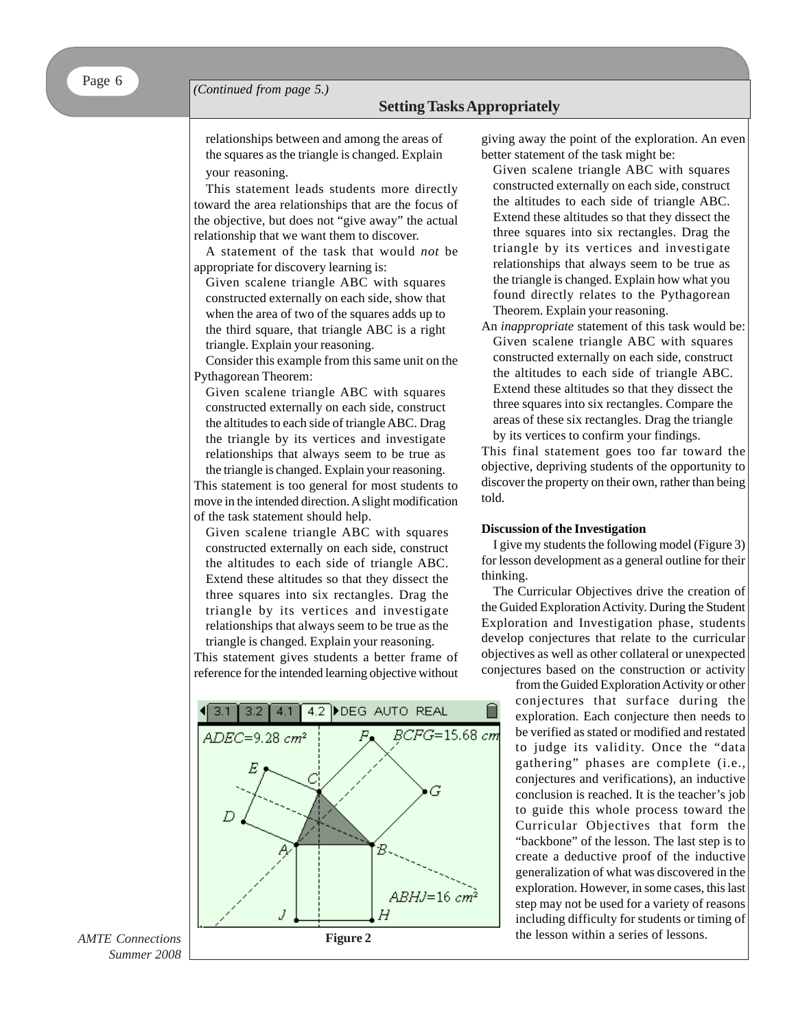# **Call for Setting Tasks Appropriately**

relationships between and among the areas of the squares as the triangle is changed. Explain your reasoning.

This statement leads students more directly toward the area relationships that are the focus of the objective, but does not "give away" the actual relationship that we want them to discover.

A statement of the task that would *not* be appropriate for discovery learning is:

Given scalene triangle ABC with squares constructed externally on each side, show that when the area of two of the squares adds up to the third square, that triangle ABC is a right triangle. Explain your reasoning.

Consider this example from this same unit on the Pythagorean Theorem:

Given scalene triangle ABC with squares constructed externally on each side, construct the altitudes to each side of triangle ABC. Drag the triangle by its vertices and investigate relationships that always seem to be true as the triangle is changed. Explain your reasoning.

This statement is too general for most students to move in the intended direction. A slight modification of the task statement should help.

Given scalene triangle ABC with squares constructed externally on each side, construct the altitudes to each side of triangle ABC. Extend these altitudes so that they dissect the three squares into six rectangles. Drag the triangle by its vertices and investigate relationships that always seem to be true as the triangle is changed. Explain your reasoning.

This statement gives students a better frame of reference for the intended learning objective without



giving away the point of the exploration. An even better statement of the task might be:

- Given scalene triangle ABC with squares constructed externally on each side, construct the altitudes to each side of triangle ABC. Extend these altitudes so that they dissect the three squares into six rectangles. Drag the triangle by its vertices and investigate relationships that always seem to be true as the triangle is changed. Explain how what you found directly relates to the Pythagorean Theorem. Explain your reasoning.
- An *inappropriate* statement of this task would be: Given scalene triangle ABC with squares constructed externally on each side, construct the altitudes to each side of triangle ABC. Extend these altitudes so that they dissect the three squares into six rectangles. Compare the areas of these six rectangles. Drag the triangle by its vertices to confirm your findings.

This final statement goes too far toward the objective, depriving students of the opportunity to discover the property on their own, rather than being told.

#### **Discussion of the Investigation**

I give my students the following model (Figure 3) for lesson development as a general outline for their thinking.

The Curricular Objectives drive the creation of the Guided Exploration Activity. During the Student Exploration and Investigation phase, students develop conjectures that relate to the curricular objectives as well as other collateral or unexpected conjectures based on the construction or activity

> from the Guided Exploration Activity or other conjectures that surface during the exploration. Each conjecture then needs to be verified as stated or modified and restated to judge its validity. Once the "data gathering" phases are complete (i.e., conjectures and verifications), an inductive conclusion is reached. It is the teacher's job to guide this whole process toward the Curricular Objectives that form the "backbone" of the lesson. The last step is to create a deductive proof of the inductive generalization of what was discovered in the exploration. However, in some cases, this last step may not be used for a variety of reasons including difficulty for students or timing of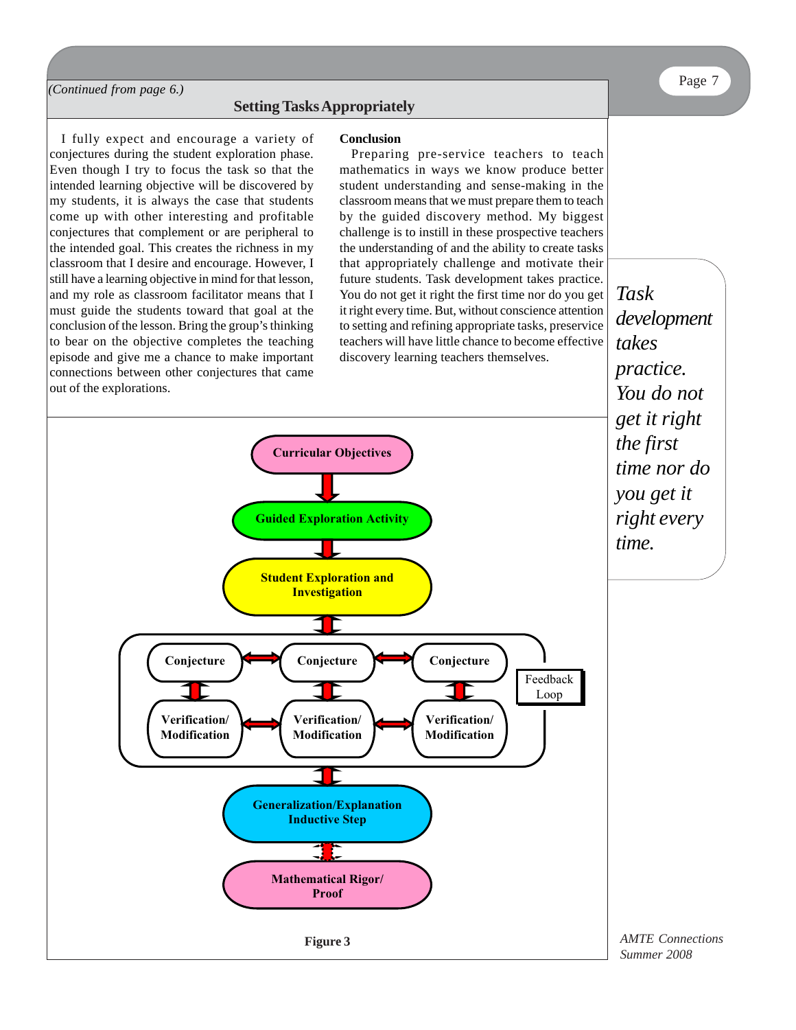#### *(Continued from page 6.)*

#### **Setting Tasks Appropriately**

I fully expect and encourage a variety of conjectures during the student exploration phase. Even though I try to focus the task so that the intended learning objective will be discovered by my students, it is always the case that students come up with other interesting and profitable conjectures that complement or are peripheral to the intended goal. This creates the richness in my classroom that I desire and encourage. However, I still have a learning objective in mind for that lesson, and my role as classroom facilitator means that I must guide the students toward that goal at the conclusion of the lesson. Bring the group's thinking to bear on the objective completes the teaching episode and give me a chance to make important connections between other conjectures that came out of the explorations.

#### **Conclusion**

Preparing pre-service teachers to teach mathematics in ways we know produce better student understanding and sense-making in the classroom means that we must prepare them to teach by the guided discovery method. My biggest challenge is to instill in these prospective teachers the understanding of and the ability to create tasks that appropriately challenge and motivate their future students. Task development takes practice. You do not get it right the first time nor do you get it right every time. But, without conscience attention to setting and refining appropriate tasks, preservice teachers will have little chance to become effective discovery learning teachers themselves.

*Task development takes practice. You do not get it right the first time nor do you get it right every*

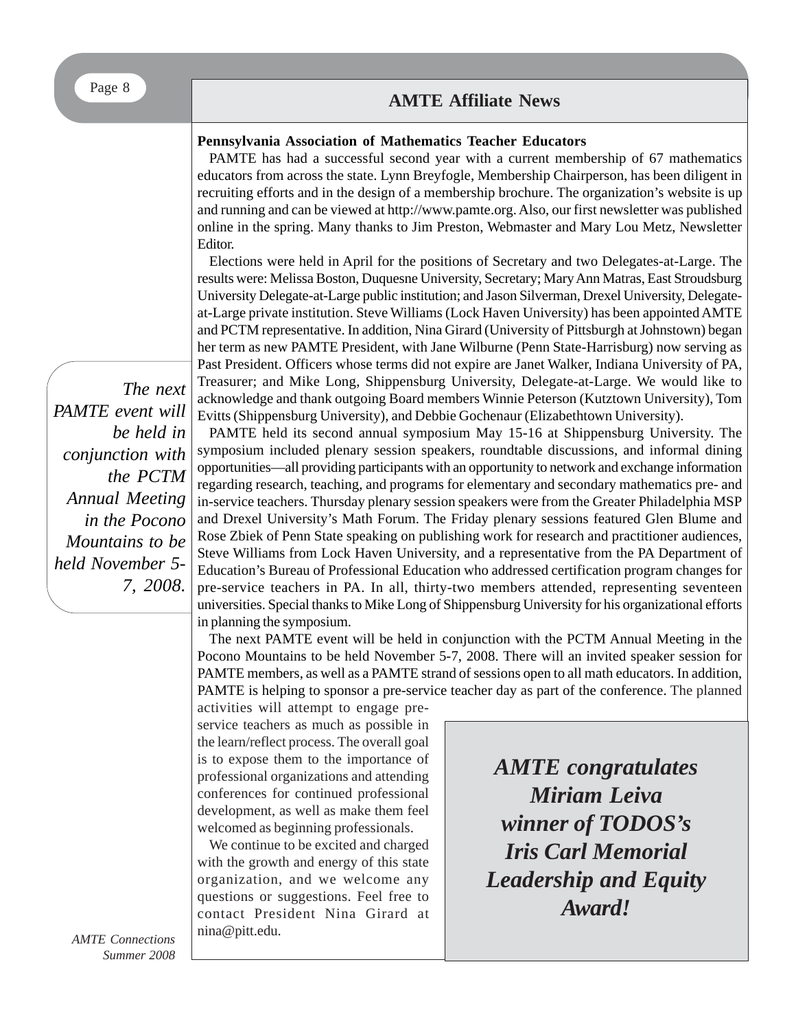## **AMTE Affiliate News**

### **Pennsylvania Association of Mathematics Teacher Educators**

PAMTE has had a successful second year with a current membership of 67 mathematics educators from across the state. Lynn Breyfogle, Membership Chairperson, has been diligent in recruiting efforts and in the design of a membership brochure. The organization's website is up and running and can be viewed at http://www.pamte.org. Also, our first newsletter was published online in the spring. Many thanks to Jim Preston, Webmaster and Mary Lou Metz, Newsletter Editor.

Elections were held in April for the positions of Secretary and two Delegates-at-Large. The results were: Melissa Boston, Duquesne University, Secretary; Mary Ann Matras, East Stroudsburg University Delegate-at-Large public institution; and Jason Silverman, Drexel University, Delegateat-Large private institution. Steve Williams (Lock Haven University) has been appointed AMTE and PCTM representative. In addition, Nina Girard (University of Pittsburgh at Johnstown) began her term as new PAMTE President, with Jane Wilburne (Penn State-Harrisburg) now serving as Past President. Officers whose terms did not expire are Janet Walker, Indiana University of PA, Treasurer; and Mike Long, Shippensburg University, Delegate-at-Large. We would like to acknowledge and thank outgoing Board members Winnie Peterson (Kutztown University), Tom Evitts (Shippensburg University), and Debbie Gochenaur (Elizabethtown University).

*The next PAMTE event will be held in conjunction with the PCTM Annual Meeting in the Pocono Mountains to be held November 5- 7, 2008.*

PAMTE held its second annual symposium May 15-16 at Shippensburg University. The symposium included plenary session speakers, roundtable discussions, and informal dining opportunities—all providing participants with an opportunity to network and exchange information regarding research, teaching, and programs for elementary and secondary mathematics pre- and in-service teachers. Thursday plenary session speakers were from the Greater Philadelphia MSP and Drexel University's Math Forum. The Friday plenary sessions featured Glen Blume and Rose Zbiek of Penn State speaking on publishing work for research and practitioner audiences, Steve Williams from Lock Haven University, and a representative from the PA Department of Education's Bureau of Professional Education who addressed certification program changes for pre-service teachers in PA. In all, thirty-two members attended, representing seventeen universities. Special thanks to Mike Long of Shippensburg University for his organizational efforts in planning the symposium.

The next PAMTE event will be held in conjunction with the PCTM Annual Meeting in the Pocono Mountains to be held November 5-7, 2008. There will an invited speaker session for PAMTE members, as well as a PAMTE strand of sessions open to all math educators. In addition, PAMTE is helping to sponsor a pre-service teacher day as part of the conference. The planned

activities will attempt to engage preservice teachers as much as possible in the learn/reflect process. The overall goal is to expose them to the importance of professional organizations and attending conferences for continued professional development, as well as make them feel welcomed as beginning professionals.

We continue to be excited and charged with the growth and energy of this state organization, and we welcome any questions or suggestions. Feel free to contact President Nina Girard at nina@pitt.edu.

*AMTE congratulates Miriam Leiva winner of TODOS's Iris Carl Memorial Leadership and Equity Award!*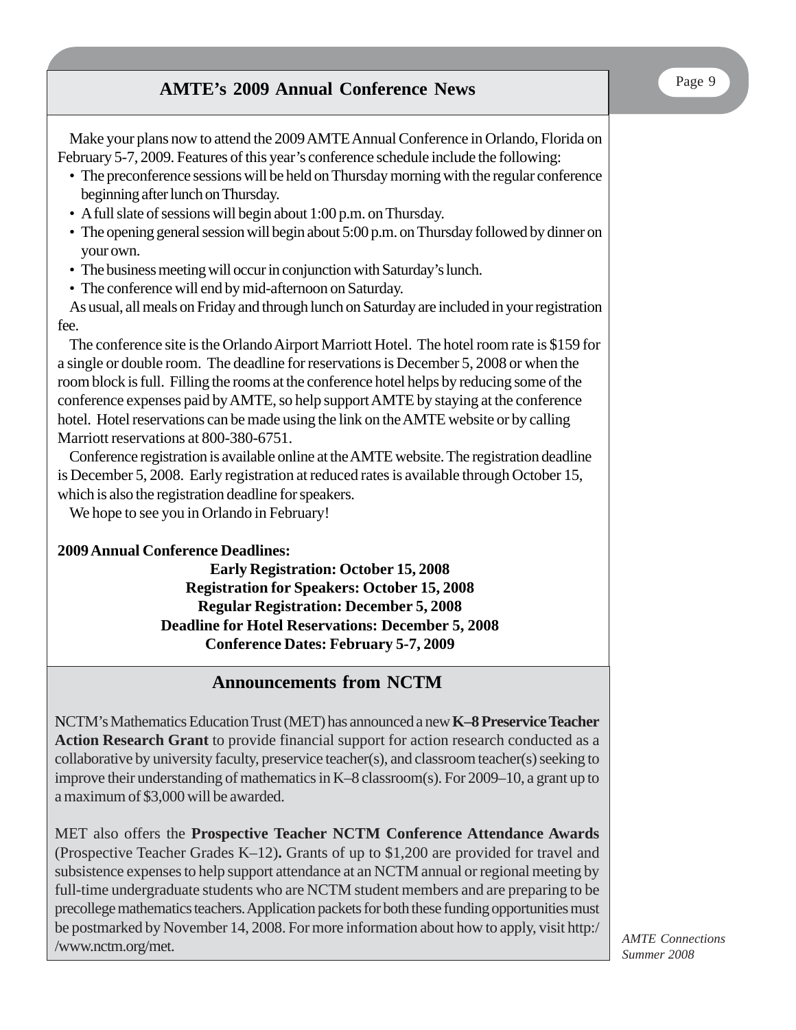# Page 9 **AMTE's 2009 Annual Conference News**

Make your plans now to attend the 2009 AMTE Annual Conference in Orlando, Florida on February 5-7, 2009. Features of this year's conference schedule include the following:

- The preconference sessions will be held on Thursday morning with the regular conference beginning after lunch on Thursday.
- A full slate of sessions will begin about 1:00 p.m. on Thursday.
- The opening general session will begin about 5:00 p.m. on Thursday followed by dinner on your own.
- The business meeting will occur in conjunction with Saturday's lunch.
- The conference will end by mid-afternoon on Saturday.

As usual, all meals on Friday and through lunch on Saturday are included in your registration fee.

The conference site is the Orlando Airport Marriott Hotel. The hotel room rate is \$159 for a single or double room. The deadline for reservations is December 5, 2008 or when the room block is full. Filling the rooms at the conference hotel helps by reducing some of the conference expenses paid by AMTE, so help support AMTE by staying at the conference hotel. Hotel reservations can be made using the link on the AMTE website or by calling Marriott reservations at 800-380-6751.

Conference registration is available online at the AMTE website. The registration deadline is December 5, 2008. Early registration at reduced rates is available through October 15, which is also the registration deadline for speakers.

We hope to see you in Orlando in February!

### **2009 Annual Conference Deadlines:**

**Early Registration: October 15, 2008 Registration for Speakers: October 15, 2008 Regular Registration: December 5, 2008 Deadline for Hotel Reservations: December 5, 2008 Conference Dates: February 5-7, 2009**

# **Announcements from NCTM**

NCTM's Mathematics Education Trust (MET) has announced a new **K–8 Preservice Teacher Action Research Grant** to provide financial support for action research conducted as a collaborative by university faculty, preservice teacher(s), and classroom teacher(s) seeking to improve their understanding of mathematics in K–8 classroom(s). For 2009–10, a grant up to a maximum of \$3,000 will be awarded.

MET also offers the **Prospective Teacher NCTM Conference Attendance Awards** (Prospective Teacher Grades K–12)**.** Grants of up to \$1,200 are provided for travel and subsistence expenses to help support attendance at an NCTM annual or regional meeting by full-time undergraduate students who are NCTM student members and are preparing to be precollege mathematics teachers. Application packets for both these funding opportunities must be postmarked by November 14, 2008. For more information about how to apply, visit http:/ /www.nctm.org/met.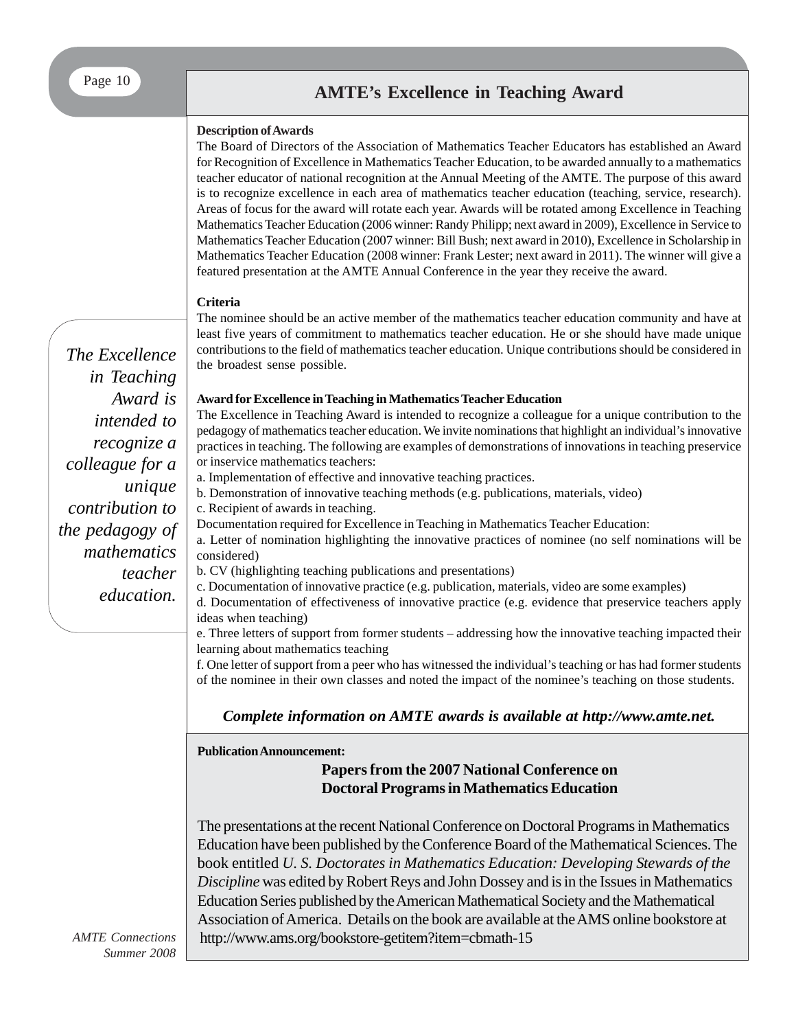### **Description of Awards**

The Board of Directors of the Association of Mathematics Teacher Educators has established an Award for Recognition of Excellence in Mathematics Teacher Education, to be awarded annually to a mathematics teacher educator of national recognition at the Annual Meeting of the AMTE. The purpose of this award is to recognize excellence in each area of mathematics teacher education (teaching, service, research). Areas of focus for the award will rotate each year. Awards will be rotated among Excellence in Teaching Mathematics Teacher Education (2006 winner: Randy Philipp; next award in 2009), Excellence in Service to Mathematics Teacher Education (2007 winner: Bill Bush; next award in 2010), Excellence in Scholarship in Mathematics Teacher Education (2008 winner: Frank Lester; next award in 2011). The winner will give a featured presentation at the AMTE Annual Conference in the year they receive the award.

### **Criteria**

The nominee should be an active member of the mathematics teacher education community and have at least five years of commitment to mathematics teacher education. He or she should have made unique contributions to the field of mathematics teacher education. Unique contributions should be considered in the broadest sense possible.

#### **Award for Excellence in Teaching in Mathematics Teacher Education**

The Excellence in Teaching Award is intended to recognize a colleague for a unique contribution to the pedagogy of mathematics teacher education. We invite nominations that highlight an individual's innovative practices in teaching. The following are examples of demonstrations of innovations in teaching preservice or inservice mathematics teachers:

a. Implementation of effective and innovative teaching practices.

- b. Demonstration of innovative teaching methods (e.g. publications, materials, video)
- c. Recipient of awards in teaching.

Documentation required for Excellence in Teaching in Mathematics Teacher Education:

a. Letter of nomination highlighting the innovative practices of nominee (no self nominations will be considered)

b. CV (highlighting teaching publications and presentations)

c. Documentation of innovative practice (e.g. publication, materials, video are some examples)

d. Documentation of effectiveness of innovative practice (e.g. evidence that preservice teachers apply ideas when teaching)

e. Three letters of support from former students – addressing how the innovative teaching impacted their learning about mathematics teaching

f. One letter of support from a peer who has witnessed the individual's teaching or has had former students of the nominee in their own classes and noted the impact of the nominee's teaching on those students.

### *Complete information on AMTE awards is available at http://www.amte.net.*

**Publication Announcement:**

### **Papers from the 2007 National Conference on Doctoral Programs in Mathematics Education**

The presentations at the recent National Conference on Doctoral Programs in Mathematics Education have been published by the Conference Board of the Mathematical Sciences. The book entitled *U. S. Doctorates in Mathematics Education: Developing Stewards of the Discipline* was edited by Robert Reys and John Dossey and is in the Issues in Mathematics Education Series published by the American Mathematical Society and the Mathematical Association of America. Details on the book are available at the AMS online bookstore at http://www.ams.org/bookstore-getitem?item=cbmath-15

*The Excellence in Teaching Award is intended to recognize a colleague for a unique contribution to the pedagogy of mathematics teacher education.*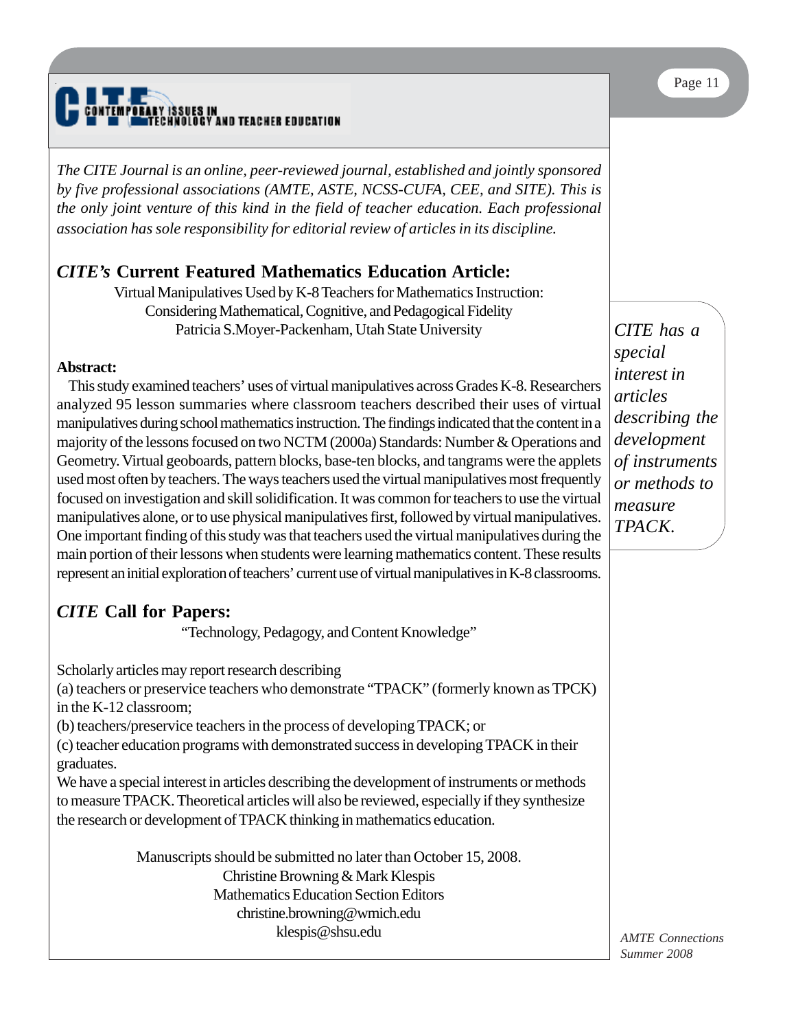# IY ISSUES IN<br>Fehnology a ND TEACHER EDUCATION

*The CITE Journal is an online, peer-reviewed journal, established and jointly sponsored by five professional associations (AMTE, ASTE, NCSS-CUFA, CEE, and SITE). This is the only joint venture of this kind in the field of teacher education. Each professional association has sole responsibility for editorial review of articles in its discipline.*

# *CITE's* **Current Featured Mathematics Education Article:**

Virtual Manipulatives Used by K-8 Teachers for Mathematics Instruction: Considering Mathematical, Cognitive, and Pedagogical Fidelity Patricia S.Moyer-Packenham, Utah State University

### **Abstract:**

This study examined teachers' uses of virtual manipulatives across Grades K-8. Researchers analyzed 95 lesson summaries where classroom teachers described their uses of virtual manipulatives during school mathematics instruction. The findings indicated that the content in a majority of the lessons focused on two NCTM (2000a) Standards: Number & Operations and Geometry. Virtual geoboards, pattern blocks, base-ten blocks, and tangrams were the applets used most often by teachers. The ways teachers used the virtual manipulatives most frequently focused on investigation and skill solidification. It was common for teachers to use the virtual manipulatives alone, or to use physical manipulatives first, followed by virtual manipulatives. One important finding of this study was that teachers used the virtual manipulatives during the main portion of their lessons when students were learning mathematics content. These results represent an initial exploration of teachers' current use of virtual manipulatives in K-8 classrooms.

# *CITE* **Call for Papers:**

"Technology, Pedagogy, and Content Knowledge"

Scholarly articles may report research describing

(a) teachers or preservice teachers who demonstrate "TPACK" (formerly known as TPCK) in the K-12 classroom;

(b) teachers/preservice teachers in the process of developing TPACK; or

(c) teacher education programs with demonstrated success in developing TPACK in their graduates.

We have a special interest in articles describing the development of instruments or methods to measure TPACK. Theoretical articles will also be reviewed, especially if they synthesize the research or development of TPACK thinking in mathematics education.

> Manuscripts should be submitted no later than October 15, 2008. Christine Browning & Mark Klespis Mathematics Education Section Editors christine.browning@wmich.edu klespis@shsu.edu

*CITE has a special interest in articles describing the development of instruments or methods to measure TPACK.*